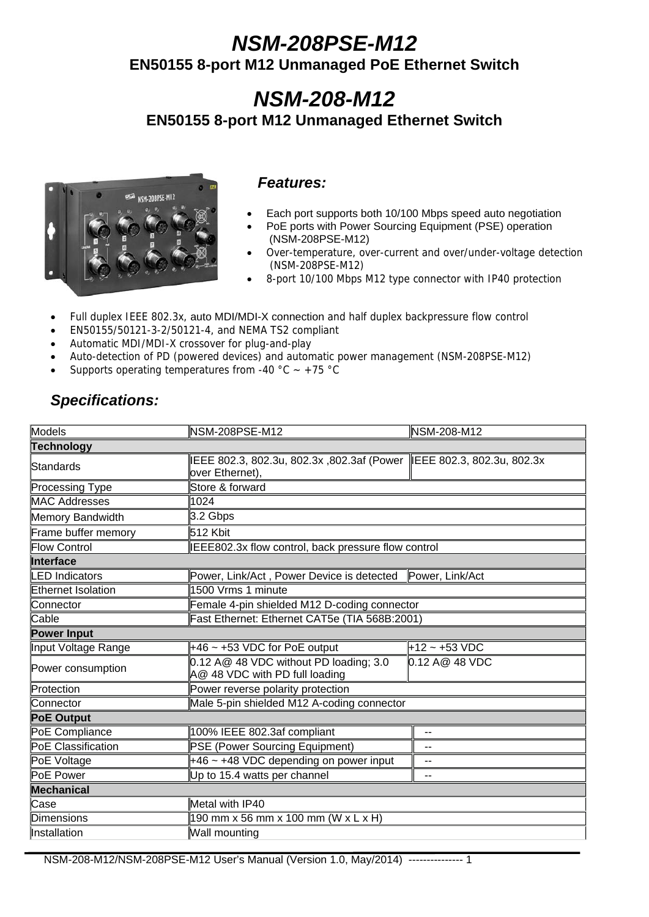# *NSM-208PSE-M12*

**EN50155 8-port M12 Unmanaged PoE Ethernet Switch** 

# *NSM-208-M12* **EN50155 8-port M12 Unmanaged Ethernet Switch**



#### *Features:*

- Each port supports both 10/100 Mbps speed auto negotiation
- PoE ports with Power Sourcing Equipment (PSE) operation (NSM-208PSE-M12)
- Over-temperature, over-current and over/under-voltage detection (NSM-208PSE-M12)
- 8-port 10/100 Mbps M12 type connector with IP40 protection
- Full duplex IEEE 802.3x, auto MDI/MDI-X connection and half duplex backpressure flow control
- EN50155/50121-3-2/50121-4, and NEMA TS2 compliant
- Automatic MDI/MDI-X crossover for plug-and-play
- Auto-detection of PD (powered devices) and automatic power management (NSM-208PSE-M12)
- Supports operating temperatures from -40  $^{\circ}$ C  $\sim$  +75  $^{\circ}$ C

#### Models **NSM-208PSE-M12** NSM-208-M12 NSM-208-M12 **Technology** Standards **IEEE 802.3, 802.3u, 802.3x** ,802.3af (Power llover Ethernet). IEEE 802.3, 802.3u, 802.3x Processing Type Store & forward MAC Addresses 1024 Memory Bandwidth **3.2 Gbps** Frame buffer memory **512 Kbit** Flow Control **Internative INTEL ISLEGOOD** IEEE802.3x flow control, back pressure flow control **Interface**  LED Indicators **Power, Link/Act** , Power Device is detected Power, Link/Act Ethernet Isolation 1500 Vrms 1 minute Connector Female 4-pin shielded M12 D-coding connector Cable Fast Ethernet: Ethernet CAT5e (TIA 568B:2001) **Power Input**  Input Voltage Range  $+46 \sim +53$  VDC for PoE output  $+12 \sim +53$  VDC Power consumption  $\begin{bmatrix} 0.12 & A @ 48 & VDC \end{bmatrix}$  without PD loading; 3.0 A@ 48 VDC with PD full loading 0.12 A@ 48 VDC Protection **Protection Protection** Connector Male 5-pin shielded M12 A-coding connector **PoE Output**  PoE Compliance | 100% IEEE 802.3af compliant | --PoE Classification **PSE** (Power Sourcing Equipment) PoE Voltage  $+46$   $+48$  VDC depending on power input  $\parallel$  -PoE Power **Definition** Up to 15.4 watts per channel **Mechanical**  Case Metal with IP40 Dimensions 190 mm x 56 mm x 100 mm (W x L x H) Installation **Wall mounting**

*Specifications:*

NSM-208-M12/NSM-208PSE-M12 User's Manual (Version 1.0, May/2014) --------------- 1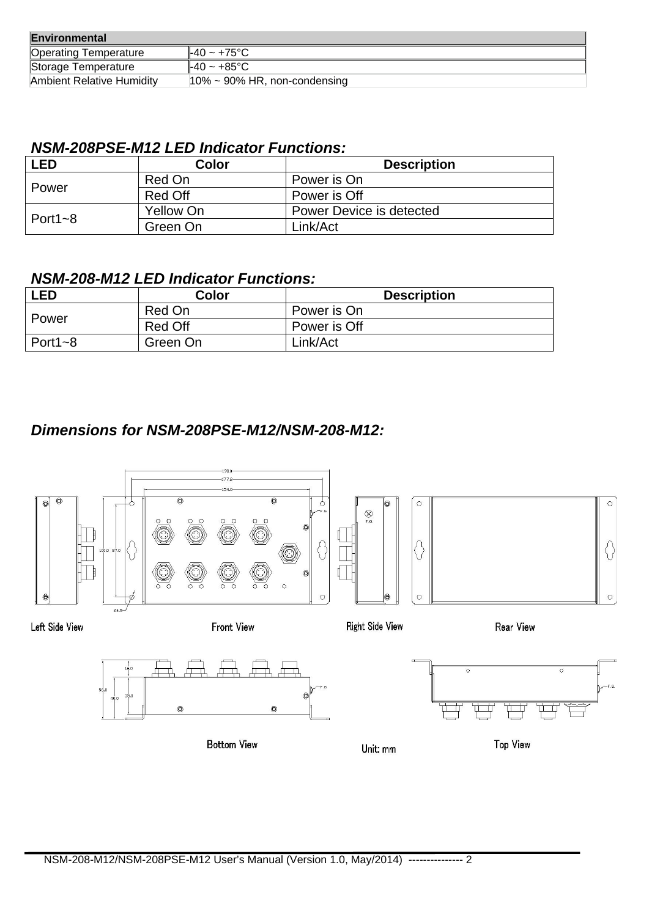| Environmental                    |                                                     |  |
|----------------------------------|-----------------------------------------------------|--|
| <b>Operating Temperature</b>     | $\textsf{\#}40 \sim \textsf{+}75^{\circ}\textsf{C}$ |  |
| Storage Temperature              | $\textsf{\#}40 \sim \textsf{+}85^{\circ}\textsf{C}$ |  |
| <b>Ambient Relative Humidity</b> | $10\% \sim 90\%$ HR, non-condensing                 |  |

#### *NSM-208PSE-M12 LED Indicator Functions:*

| LED            | Color     | <b>Description</b>       |
|----------------|-----------|--------------------------|
| Power          | Red On    | Power is On              |
|                | Red Off   | Power is Off             |
| Port1 $\sim$ 8 | Yellow On | Power Device is detected |
|                | Green On  | Link/Act                 |

### *NSM-208-M12 LED Indicator Functions:*

| <b>LED</b>     | Color    | <b>Description</b> |
|----------------|----------|--------------------|
| Power          | Red On   | Power is On        |
|                | Red Off  | Power is Off       |
| Port1 $\sim$ 8 | Green On | Link/Act           |

### *Dimensions for NSM-208PSE-M12/NSM-208-M12:*